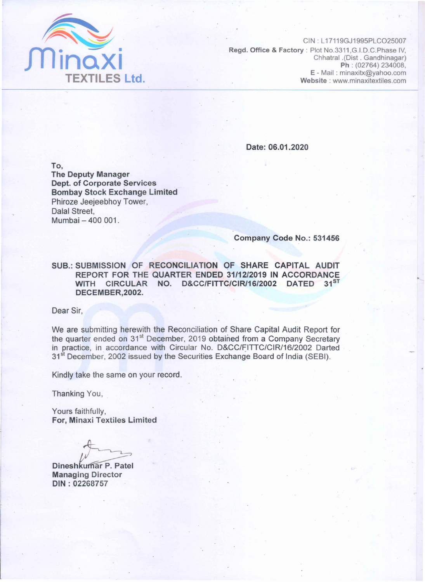

CIN : L 17119GJ1995PLC025007 Regd. Office & Factory: Plot No.3311 ,G.I.D.C.Phase IV, Chhatral .(Dist . Gandhinagar) Ph : (02764) 234008, E - Mail: minaxitx@yahoo.com Website : www.minaxitextiles.com

Date: 06.01.2020

To,

The Deputy Manager Dept. of Corporate Services Bombay Stock Exchange Limited Phiroze Jeejeebhoy Tower, Dalal Street, Mumbai - 400 001.

Company Code No.: 531456

SUB.: SUBMISSION OF RECONCILIATION OF SHARE CAPITAL AUDIT REPORT FOR THE QUARTER ENDED 31/12/2019 IN ACCORDANCE WITH CIRCULAR NO. D&CC/FITTC/CIR/16/2002 DATED 31ST DECEMBER,2002.

Dear Sir,

We are submitting herewith the Reconciliation of Share Capital Audit Report for the quarter ended on 31<sup>st</sup> December, 2019 obtained from a Company Secretary in practice, in accordance with Circular No. D&CC/FITTC/CIR/16/2002 Darted 31<sup>st</sup> December, 2002 issued by the Securities Exchange Board of India (SEBI).

Kindly take the same on your record.

Thanking You,

Yours faithfully, For, Minaxi Textiles Limited

Dineshkumar P. Patel Managing Director DIN: 02268757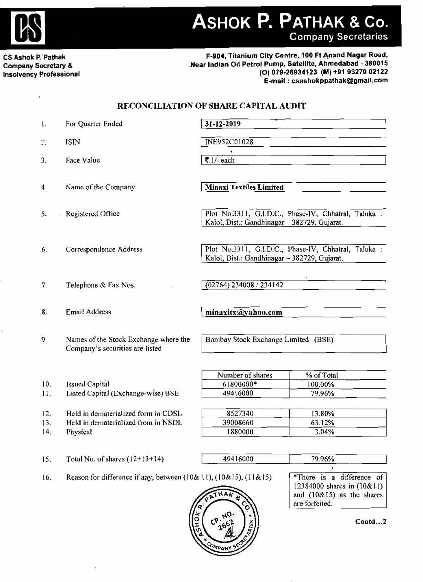

ASHOK P. PATHAK & Co.

**Company Secretaries** 

CS Ashok P. Pathak Company Secretary & Insolvency Professional

#### F-904, Titanium City Centre, 100 Ft Anand Nagar Road, Near Indian Oil Petrol Pump, Satellite, Ahmedabad - 380015 (0) 079-26934123 (M) +91 9327002122 E-mail: csashokppathak@gmail.com

### RECONCILIATION OF SHARE CAPITAL AUDIT

| 1.                | For Quarter Ended                                                                      | 31-12-2019                                                                                           |  |  |
|-------------------|----------------------------------------------------------------------------------------|------------------------------------------------------------------------------------------------------|--|--|
| 2.                | <b>ISIN</b>                                                                            | INE952C01028                                                                                         |  |  |
| 3.                | Face Value                                                                             | ₹.1/- each                                                                                           |  |  |
| 4.                | Name of the Company                                                                    | <b>Minaxi Textiles Limited</b>                                                                       |  |  |
| 5.                | Registered Office                                                                      | Plot No.3311, G.I.D.C., Phase-IV, Chhatral, Taluka:<br>Kalol, Dist.: Gandhinagar - 382729, Gujarat.  |  |  |
| 6.                | Correspondence Address                                                                 | Plot No.3311, G.I.D.C., Phase-IV, Chhatral, Taluka :<br>Kalol, Dist.: Gandhinagar - 382729, Gujarat. |  |  |
| 7.                | Telephone & Fax Nos.                                                                   | $\sqrt{(02764)}$ 234008 / 234142                                                                     |  |  |
| 8.                | <b>Email Address</b>                                                                   | minaxitx@yahoo.com                                                                                   |  |  |
| 9.                | Names of the Stock Exchange where the<br>Company's securities are listed               | Bombay Stock Exchange Limited (BSE)                                                                  |  |  |
| 10.<br>11.        | <b>Issued Capital</b><br>Listed Capital (Exchange-wise) BSE                            | Number of shares<br>% of Total<br>61800000*<br>100.00%<br>49416000<br>79.96%                         |  |  |
| 12.<br>13.<br>14. | Held in dematerialized form in CDSL<br>Held in dematerialized from in NSDL<br>Physical | 8527340<br>13.80%<br>39008660<br>63.12%<br>1880000<br>3.04%                                          |  |  |
| 15.               | Total No. of shares $(12+13+14)$                                                       | 49416000<br>79.96%                                                                                   |  |  |

16. Reason for difference if any, between (10& 11), (10& 15), (11& 15)  $\sqrt{\text{*}$  There is a difference of



12384000 shares in (10&11) and  $(10&15)$  as the shares are forfeited.

Contd...2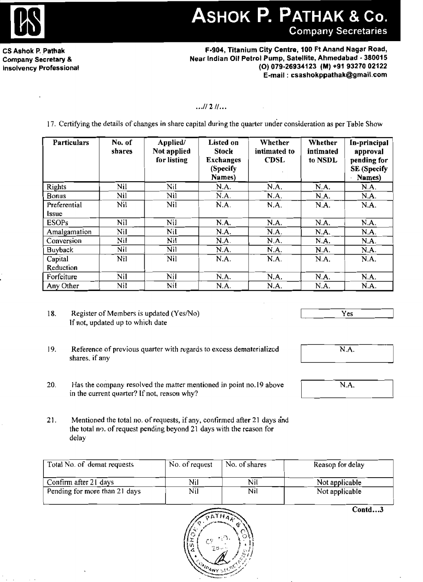

# ASHOK P. PATHAK & Co. **Company Secretaries**

CS Ashok P. Pathak Company Secretary & Insolvency Professional

F~904, Titanium City Centre, 100 Ft Anand Nagar Road, Near Indian Oil Petrol Pump, Satellite, Ahmedabad· 380015 (0) 079·26934123 (M) +91 9327002122 E-mail: csashokppathak@gmail.com

### $...$   $1121...$

17. Certifying the details of changes in share capital during the quarter under consideration as per TabJe Show

| <b>Particulars</b>    | No. of<br>shares | Applied/<br>Not applied<br>for listing | Listed on<br><b>Stock</b><br><b>Exchanges</b><br>(Specify<br>Names) | Whether<br>intimated to<br><b>CDSL</b> | Whether<br>intimated<br>to NSDL | In-principal<br>approval<br>pending for<br><b>SE</b> (Specify<br>Names) |
|-----------------------|------------------|----------------------------------------|---------------------------------------------------------------------|----------------------------------------|---------------------------------|-------------------------------------------------------------------------|
| Rights                | Nil              | Nil                                    | N.A.                                                                | N.A.                                   | N.A.                            | NA.                                                                     |
| Bonus                 | Nil              | Nil                                    | N.A.                                                                | N.A.                                   | N.A.                            | N.A.                                                                    |
| Preferential<br>Issue | Nil.             | Nil                                    | N.A.                                                                | N.A.                                   | N.A.                            | N.A.                                                                    |
| <b>ESOPs</b>          | Nil              | Nil                                    | N.A.                                                                | N.A.                                   | N.A.                            | N.A.                                                                    |
| Amalgamation          | Nil              | Nil                                    | N.A.                                                                | N.A.                                   | N.A.                            | N.A.                                                                    |
| Conversion            | Nil              | Nil                                    | N.A.                                                                | N.A.                                   | N.A.                            | N.A.                                                                    |
| <b>Buyback</b>        | Nil              | Nil                                    | N.A.                                                                | N.A.                                   | N.A.                            | N.A.                                                                    |
| Capital               | Nil              | Nil                                    | N.A.                                                                | N.A.                                   | N.A.                            | N.A.                                                                    |
| Reduction             |                  |                                        |                                                                     |                                        |                                 |                                                                         |
| Forfeiture            | Nil              | Nil                                    | N.A.                                                                | N.A.                                   | N.A.                            | N.A.                                                                    |
| Any Other             | Nil              | Nil                                    | N.A.                                                                | N.A.                                   | N.A.                            | N.A.                                                                    |

18. Register of Members is updated (Yes/No) If not, updated up to which date

Yes

N.A.

N.A.

- 19. Reference of previous quarter with regards to excess dematerialized shares. if any
- 20. Has the company resolved the matter mentioned in point no.19 above in the current quarter? If not, reason why?
- 21. Mentioned the total no. of requests, if any, contirmed after 21 days and the total no, of request pending beyond 21 days with the reason for delay

| Total No. of demat requests   | No. of request | No. of shares | Reason for delay |  |
|-------------------------------|----------------|---------------|------------------|--|
| Confirm after 21 days         | Nil            | Nil           | Not applicable   |  |
| Pending for more than 21 days | Nil            | Nil           | Not applicable   |  |
|                               |                |               |                  |  |



 $Conta...3$